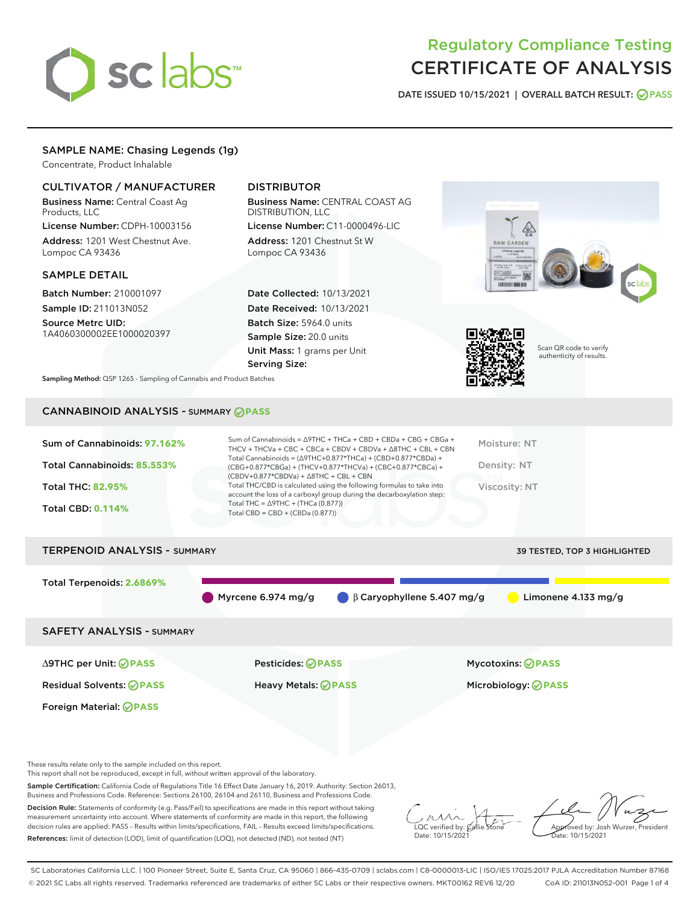# sclabs<sup>\*</sup>

# Regulatory Compliance Testing CERTIFICATE OF ANALYSIS

DATE ISSUED 10/15/2021 | OVERALL BATCH RESULT: @ PASS

# SAMPLE NAME: Chasing Legends (1g)

Concentrate, Product Inhalable

# CULTIVATOR / MANUFACTURER

Business Name: Central Coast Ag Products, LLC

License Number: CDPH-10003156 Address: 1201 West Chestnut Ave. Lompoc CA 93436

# SAMPLE DETAIL

Batch Number: 210001097 Sample ID: 211013N052

Source Metrc UID: 1A4060300002EE1000020397

# DISTRIBUTOR

Business Name: CENTRAL COAST AG DISTRIBUTION, LLC License Number: C11-0000496-LIC

Address: 1201 Chestnut St W Lompoc CA 93436

Date Collected: 10/13/2021 Date Received: 10/13/2021 Batch Size: 5964.0 units Sample Size: 20.0 units Unit Mass: 1 grams per Unit Serving Size:





Scan QR code to verify authenticity of results.

Sampling Method: QSP 1265 - Sampling of Cannabis and Product Batches

# CANNABINOID ANALYSIS - SUMMARY **PASS**

| Sum of Cannabinoids: 97.162% | Sum of Cannabinoids = $\triangle$ 9THC + THCa + CBD + CBDa + CBG + CBGa +<br>THCV + THCVa + CBC + CBCa + CBDV + CBDVa + $\Delta$ 8THC + CBL + CBN                                    | Moisture: NT  |
|------------------------------|--------------------------------------------------------------------------------------------------------------------------------------------------------------------------------------|---------------|
| Total Cannabinoids: 85.553%  | Total Cannabinoids = $(\Delta$ 9THC+0.877*THCa) + (CBD+0.877*CBDa) +<br>(CBG+0.877*CBGa) + (THCV+0.877*THCVa) + (CBC+0.877*CBCa) +<br>$(CBDV+0.877*CBDVa) + \Delta 8THC + CBL + CBN$ | Density: NT   |
| <b>Total THC: 82.95%</b>     | Total THC/CBD is calculated using the following formulas to take into<br>account the loss of a carboxyl group during the decarboxylation step:                                       | Viscosity: NT |
| <b>Total CBD: 0.114%</b>     | Total THC = $\triangle$ 9THC + (THCa (0.877))<br>Total CBD = $CBD + (CBDa (0.877))$                                                                                                  |               |
|                              |                                                                                                                                                                                      |               |

# TERPENOID ANALYSIS - SUMMARY 39 TESTED, TOP 3 HIGHLIGHTED Total Terpenoids: **2.6869%** Myrcene 6.974 mg/g  $\qquad \qquad \beta$  Caryophyllene 5.407 mg/g  $\qquad \qquad$  Limonene 4.133 mg/g SAFETY ANALYSIS - SUMMARY

Foreign Material: **PASS**

∆9THC per Unit: **PASS** Pesticides: **PASS** Mycotoxins: **PASS**

Residual Solvents: **PASS** Heavy Metals: **PASS** Microbiology: **PASS**

These results relate only to the sample included on this report.

This report shall not be reproduced, except in full, without written approval of the laboratory.

Sample Certification: California Code of Regulations Title 16 Effect Date January 16, 2019. Authority: Section 26013, Business and Professions Code. Reference: Sections 26100, 26104 and 26110, Business and Professions Code.

Decision Rule: Statements of conformity (e.g. Pass/Fail) to specifications are made in this report without taking measurement uncertainty into account. Where statements of conformity are made in this report, the following decision rules are applied: PASS – Results within limits/specifications, FAIL – Results exceed limits/specifications. References: limit of detection (LOD), limit of quantification (LOQ), not detected (ND), not tested (NT)

 $\overline{\text{LOC}}$  verified by:  $\mathcal C$ Date: 10/15/2021

Approved by: Josh Wurzer, President Date: 10/15/2021

SC Laboratories California LLC. | 100 Pioneer Street, Suite E, Santa Cruz, CA 95060 | 866-435-0709 | sclabs.com | C8-0000013-LIC | ISO/IES 17025:2017 PJLA Accreditation Number 87168 © 2021 SC Labs all rights reserved. Trademarks referenced are trademarks of either SC Labs or their respective owners. MKT00162 REV6 12/20 CoA ID: 211013N052-001 Page 1 of 4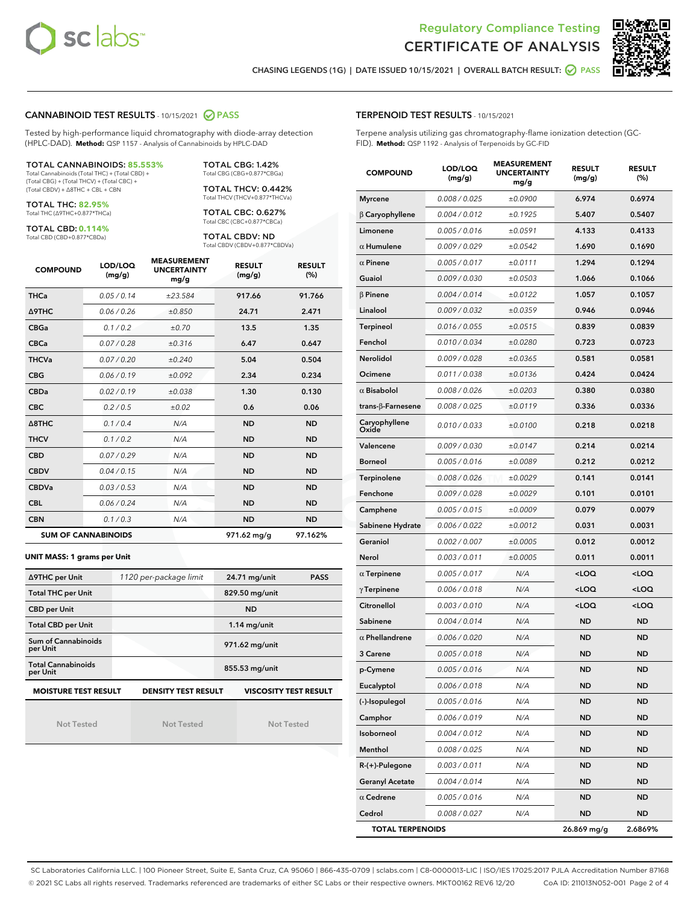



CHASING LEGENDS (1G) | DATE ISSUED 10/15/2021 | OVERALL BATCH RESULT: **○** PASS

#### CANNABINOID TEST RESULTS - 10/15/2021 2 PASS

Tested by high-performance liquid chromatography with diode-array detection (HPLC-DAD). **Method:** QSP 1157 - Analysis of Cannabinoids by HPLC-DAD

#### TOTAL CANNABINOIDS: **85.553%**

Total Cannabinoids (Total THC) + (Total CBD) + (Total CBG) + (Total THCV) + (Total CBC) + (Total CBDV) + ∆8THC + CBL + CBN

TOTAL THC: **82.95%** Total THC (∆9THC+0.877\*THCa)

TOTAL CBD: **0.114%**

Total CBD (CBD+0.877\*CBDa)

TOTAL CBG: 1.42% Total CBG (CBG+0.877\*CBGa)

TOTAL THCV: 0.442% Total THCV (THCV+0.877\*THCVa)

TOTAL CBC: 0.627% Total CBC (CBC+0.877\*CBCa)

TOTAL CBDV: ND Total CBDV (CBDV+0.877\*CBDVa)

| <b>COMPOUND</b>  | LOD/LOQ<br>(mg/g)          | <b>MEASUREMENT</b><br><b>UNCERTAINTY</b><br>mg/g | <b>RESULT</b><br>(mg/g) | <b>RESULT</b><br>(%) |
|------------------|----------------------------|--------------------------------------------------|-------------------------|----------------------|
| <b>THCa</b>      | 0.05 / 0.14                | ±23.584                                          | 917.66                  | 91.766               |
| <b>A9THC</b>     | 0.06 / 0.26                | ±0.850                                           | 24.71                   | 2.471                |
| <b>CBGa</b>      | 0.1/0.2                    | ±0.70                                            | 13.5                    | 1.35                 |
| <b>CBCa</b>      | 0.07 / 0.28                | ±0.316                                           | 6.47                    | 0.647                |
| <b>THCVa</b>     | 0.07/0.20                  | ±0.240                                           | 5.04                    | 0.504                |
| <b>CBG</b>       | 0.06/0.19                  | ±0.092                                           | 2.34                    | 0.234                |
| <b>CBDa</b>      | 0.02/0.19                  | ±0.038                                           | 1.30                    | 0.130                |
| <b>CBC</b>       | 0.2 / 0.5                  | ±0.02                                            | 0.6                     | 0.06                 |
| $\triangle$ 8THC | 0.1/0.4                    | N/A                                              | <b>ND</b>               | <b>ND</b>            |
| <b>THCV</b>      | 0.1 / 0.2                  | N/A                                              | <b>ND</b>               | <b>ND</b>            |
| <b>CBD</b>       | 0.07/0.29                  | N/A                                              | <b>ND</b>               | <b>ND</b>            |
| <b>CBDV</b>      | 0.04 / 0.15                | N/A                                              | <b>ND</b>               | <b>ND</b>            |
| <b>CBDVa</b>     | 0.03 / 0.53                | N/A                                              | <b>ND</b>               | <b>ND</b>            |
| <b>CBL</b>       | 0.06 / 0.24                | N/A                                              | <b>ND</b>               | <b>ND</b>            |
| <b>CBN</b>       | 0.1/0.3                    | N/A                                              | <b>ND</b>               | <b>ND</b>            |
|                  | <b>SUM OF CANNABINOIDS</b> |                                                  | 971.62 mg/g             | 97.162%              |

#### **UNIT MASS: 1 grams per Unit**

| ∆9THC per Unit                        | 1120 per-package limit     | 24.71 mg/unit<br><b>PASS</b> |
|---------------------------------------|----------------------------|------------------------------|
| <b>Total THC per Unit</b>             |                            | 829.50 mg/unit               |
| <b>CBD per Unit</b>                   |                            | <b>ND</b>                    |
| <b>Total CBD per Unit</b>             |                            | $1.14$ mg/unit               |
| Sum of Cannabinoids<br>per Unit       |                            | 971.62 mg/unit               |
| <b>Total Cannabinoids</b><br>per Unit |                            | 855.53 mg/unit               |
| <b>MOISTURE TEST RESULT</b>           | <b>DENSITY TEST RESULT</b> | <b>VISCOSITY TEST RESULT</b> |

Not Tested

Not Tested

Not Tested

| <b>TERPENOID TEST RESULTS - 10/15/2021</b> |  |
|--------------------------------------------|--|
|--------------------------------------------|--|

Terpene analysis utilizing gas chromatography-flame ionization detection (GC-FID). **Method:** QSP 1192 - Analysis of Terpenoids by GC-FID

| <b>COMPOUND</b>          | LOD/LOQ<br>(mg/g) | <b>MEASUREMENT</b><br><b>UNCERTAINTY</b><br>mg/g | <b>RESULT</b><br>(mg/g)                         | <b>RESULT</b><br>(%) |
|--------------------------|-------------------|--------------------------------------------------|-------------------------------------------------|----------------------|
| <b>Myrcene</b>           | 0.008 / 0.025     | ±0.0900                                          | 6.974                                           | 0.6974               |
| $\beta$ Caryophyllene    | 0.004 / 0.012     | ±0.1925                                          | 5.407                                           | 0.5407               |
| Limonene                 | 0.005 / 0.016     | ±0.0591                                          | 4.133                                           | 0.4133               |
| $\alpha$ Humulene        | 0.009 / 0.029     | ±0.0542                                          | 1.690                                           | 0.1690               |
| $\alpha$ Pinene          | 0.005 / 0.017     | ±0.0111                                          | 1.294                                           | 0.1294               |
| Guaiol                   | 0.009 / 0.030     | ±0.0503                                          | 1.066                                           | 0.1066               |
| $\beta$ Pinene           | 0.004 / 0.014     | ±0.0122                                          | 1.057                                           | 0.1057               |
| Linalool                 | 0.009 / 0.032     | ±0.0359                                          | 0.946                                           | 0.0946               |
| Terpineol                | 0.016 / 0.055     | ±0.0515                                          | 0.839                                           | 0.0839               |
| Fenchol                  | 0.010 / 0.034     | ±0.0280                                          | 0.723                                           | 0.0723               |
| Nerolidol                | 0.009 / 0.028     | ±0.0365                                          | 0.581                                           | 0.0581               |
| Ocimene                  | 0.011 / 0.038     | ±0.0136                                          | 0.424                                           | 0.0424               |
| $\alpha$ Bisabolol       | 0.008 / 0.026     | ±0.0203                                          | 0.380                                           | 0.0380               |
| $trans-\beta$ -Farnesene | 0.008 / 0.025     | ±0.0119                                          | 0.336                                           | 0.0336               |
| Caryophyllene<br>Oxide   | 0.010 / 0.033     | ±0.0100                                          | 0.218                                           | 0.0218               |
| Valencene                | 0.009 / 0.030     | ±0.0147                                          | 0.214                                           | 0.0214               |
| <b>Borneol</b>           | 0.005 / 0.016     | ±0.0089                                          | 0.212                                           | 0.0212               |
| Terpinolene              | 0.008 / 0.026     | ±0.0029                                          | 0.141                                           | 0.0141               |
| Fenchone                 | 0.009 / 0.028     | ±0.0029                                          | 0.101                                           | 0.0101               |
| Camphene                 | 0.005 / 0.015     | ±0.0009                                          | 0.079                                           | 0.0079               |
| Sabinene Hydrate         | 0.006 / 0.022     | ±0.0012                                          | 0.031                                           | 0.0031               |
| Geraniol                 | 0.002 / 0.007     | ±0.0005                                          | 0.012                                           | 0.0012               |
| Nerol                    | 0.003 / 0.011     | ±0.0005                                          | 0.011                                           | 0.0011               |
| $\alpha$ Terpinene       | 0.005 / 0.017     | N/A                                              | <loq< th=""><th><loq< th=""></loq<></th></loq<> | <loq< th=""></loq<>  |
| $\gamma$ Terpinene       | 0.006 / 0.018     | N/A                                              | <loq< th=""><th><loq< th=""></loq<></th></loq<> | <loq< th=""></loq<>  |
| Citronellol              | 0.003 / 0.010     | N/A                                              | <loq< th=""><th><loq< th=""></loq<></th></loq<> | <loq< th=""></loq<>  |
| Sabinene                 | 0.004 / 0.014     | N/A                                              | <b>ND</b>                                       | <b>ND</b>            |
| $\alpha$ Phellandrene    | 0.006 / 0.020     | N/A                                              | ND                                              | <b>ND</b>            |
| 3 Carene                 | 0.005 / 0.018     | N/A                                              | <b>ND</b>                                       | ND                   |
| p-Cymene                 | 0.005 / 0.016     | N/A                                              | <b>ND</b>                                       | <b>ND</b>            |
| Eucalyptol               | 0.006 / 0.018     | N/A                                              | ND                                              | ND                   |
| (-)-Isopulegol           | 0.005 / 0.016     | N/A                                              | <b>ND</b>                                       | ND                   |
| Camphor                  | 0.006 / 0.019     | N/A                                              | <b>ND</b>                                       | <b>ND</b>            |
| Isoborneol               | 0.004 / 0.012     | N/A                                              | ND                                              | ND                   |
| Menthol                  | 0.008 / 0.025     | N/A                                              | ND                                              | ND                   |
| R-(+)-Pulegone           | 0.003 / 0.011     | N/A                                              | <b>ND</b>                                       | <b>ND</b>            |
| <b>Geranyl Acetate</b>   | 0.004 / 0.014     | N/A                                              | ND                                              | ND                   |
| $\alpha$ Cedrene         | 0.005 / 0.016     | N/A                                              | ND                                              | ND                   |
| Cedrol                   | 0.008 / 0.027     | N/A                                              | <b>ND</b>                                       | ND                   |
| <b>TOTAL TERPENOIDS</b>  |                   |                                                  | 26.869 mg/g                                     | 2.6869%              |

SC Laboratories California LLC. | 100 Pioneer Street, Suite E, Santa Cruz, CA 95060 | 866-435-0709 | sclabs.com | C8-0000013-LIC | ISO/IES 17025:2017 PJLA Accreditation Number 87168 © 2021 SC Labs all rights reserved. Trademarks referenced are trademarks of either SC Labs or their respective owners. MKT00162 REV6 12/20 CoA ID: 211013N052-001 Page 2 of 4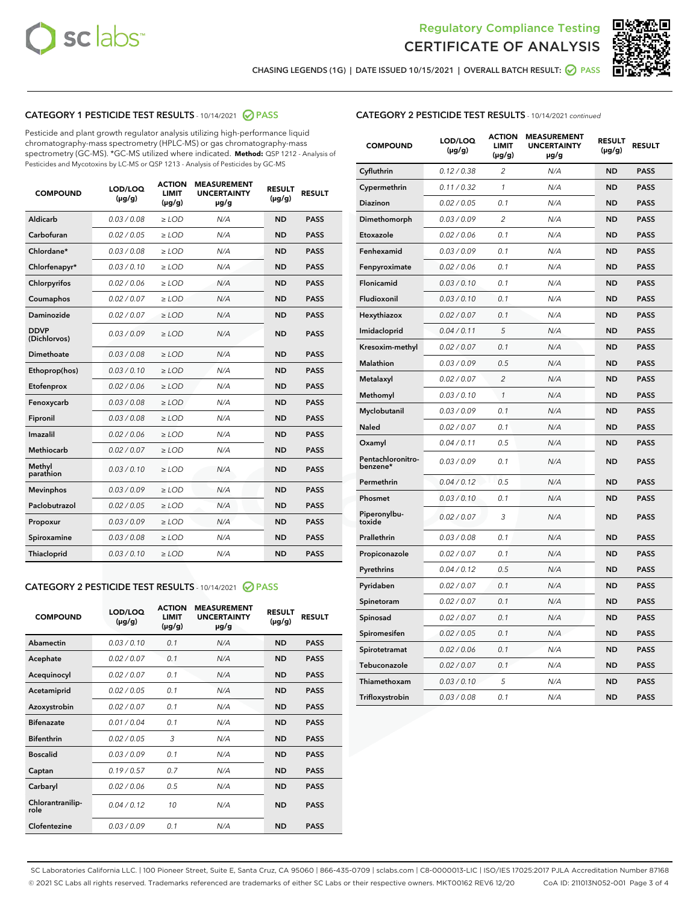



CHASING LEGENDS (1G) | DATE ISSUED 10/15/2021 | OVERALL BATCH RESULT: @ PASS

# CATEGORY 1 PESTICIDE TEST RESULTS - 10/14/2021 @ PASS

Pesticide and plant growth regulator analysis utilizing high-performance liquid chromatography-mass spectrometry (HPLC-MS) or gas chromatography-mass spectrometry (GC-MS). \*GC-MS utilized where indicated. **Method:** QSP 1212 - Analysis of Pesticides and Mycotoxins by LC-MS or QSP 1213 - Analysis of Pesticides by GC-MS

| <b>Aldicarb</b><br>0.03 / 0.08<br><b>ND</b><br>$\ge$ LOD<br>N/A<br><b>PASS</b><br>Carbofuran<br>0.02/0.05<br>$\ge$ LOD<br>N/A<br><b>ND</b><br><b>PASS</b><br>Chlordane*<br>0.03 / 0.08<br><b>ND</b><br>$>$ LOD<br>N/A<br><b>PASS</b><br>0.03/0.10<br><b>ND</b><br><b>PASS</b><br>Chlorfenapyr*<br>$\ge$ LOD<br>N/A<br>0.02 / 0.06<br>N/A<br><b>ND</b><br><b>PASS</b><br>Chlorpyrifos<br>$\ge$ LOD<br>0.02 / 0.07<br>N/A<br><b>ND</b><br><b>PASS</b><br>Coumaphos<br>$>$ LOD<br>Daminozide<br>0.02 / 0.07<br>$\ge$ LOD<br>N/A<br><b>ND</b><br><b>PASS</b><br><b>DDVP</b><br>0.03/0.09<br>$\ge$ LOD<br>N/A<br><b>ND</b><br><b>PASS</b><br>(Dichlorvos)<br>Dimethoate<br><b>ND</b><br><b>PASS</b><br>0.03/0.08<br>$>$ LOD<br>N/A<br>0.03/0.10<br>Ethoprop(hos)<br>$\ge$ LOD<br>N/A<br><b>ND</b><br><b>PASS</b><br>0.02/0.06<br>$\ge$ LOD<br>N/A<br><b>ND</b><br><b>PASS</b><br>Etofenprox<br>Fenoxycarb<br>0.03/0.08<br>$>$ LOD<br>N/A<br><b>ND</b><br><b>PASS</b><br>0.03/0.08<br><b>ND</b><br><b>PASS</b><br>Fipronil<br>$\ge$ LOD<br>N/A<br>Imazalil<br>0.02 / 0.06<br>$>$ LOD<br>N/A<br><b>ND</b><br><b>PASS</b><br>0.02 / 0.07<br>Methiocarb<br>N/A<br><b>ND</b><br>$>$ LOD<br><b>PASS</b><br>Methyl<br>0.03/0.10<br>$\ge$ LOD<br>N/A<br><b>ND</b><br><b>PASS</b><br>parathion<br>0.03/0.09<br>$\ge$ LOD<br>N/A<br><b>ND</b><br><b>PASS</b><br><b>Mevinphos</b><br>Paclobutrazol<br>0.02 / 0.05<br>$\ge$ LOD<br>N/A<br><b>ND</b><br><b>PASS</b><br>0.03/0.09<br>N/A<br>$\ge$ LOD<br><b>ND</b><br><b>PASS</b><br>Propoxur<br>0.03/0.08<br><b>ND</b><br><b>PASS</b><br>Spiroxamine<br>$\ge$ LOD<br>N/A<br><b>PASS</b><br>Thiacloprid<br>0.03/0.10<br>$\ge$ LOD<br>N/A<br><b>ND</b> | <b>COMPOUND</b> | LOD/LOQ<br>$(\mu g/g)$ | <b>ACTION</b><br>LIMIT<br>$(\mu g/g)$ | <b>MEASUREMENT</b><br><b>UNCERTAINTY</b><br>$\mu$ g/g | <b>RESULT</b><br>$(\mu g/g)$ | <b>RESULT</b> |
|------------------------------------------------------------------------------------------------------------------------------------------------------------------------------------------------------------------------------------------------------------------------------------------------------------------------------------------------------------------------------------------------------------------------------------------------------------------------------------------------------------------------------------------------------------------------------------------------------------------------------------------------------------------------------------------------------------------------------------------------------------------------------------------------------------------------------------------------------------------------------------------------------------------------------------------------------------------------------------------------------------------------------------------------------------------------------------------------------------------------------------------------------------------------------------------------------------------------------------------------------------------------------------------------------------------------------------------------------------------------------------------------------------------------------------------------------------------------------------------------------------------------------------------------------------------------------------------------------------------------------------------------------------------------------------|-----------------|------------------------|---------------------------------------|-------------------------------------------------------|------------------------------|---------------|
|                                                                                                                                                                                                                                                                                                                                                                                                                                                                                                                                                                                                                                                                                                                                                                                                                                                                                                                                                                                                                                                                                                                                                                                                                                                                                                                                                                                                                                                                                                                                                                                                                                                                                    |                 |                        |                                       |                                                       |                              |               |
|                                                                                                                                                                                                                                                                                                                                                                                                                                                                                                                                                                                                                                                                                                                                                                                                                                                                                                                                                                                                                                                                                                                                                                                                                                                                                                                                                                                                                                                                                                                                                                                                                                                                                    |                 |                        |                                       |                                                       |                              |               |
|                                                                                                                                                                                                                                                                                                                                                                                                                                                                                                                                                                                                                                                                                                                                                                                                                                                                                                                                                                                                                                                                                                                                                                                                                                                                                                                                                                                                                                                                                                                                                                                                                                                                                    |                 |                        |                                       |                                                       |                              |               |
|                                                                                                                                                                                                                                                                                                                                                                                                                                                                                                                                                                                                                                                                                                                                                                                                                                                                                                                                                                                                                                                                                                                                                                                                                                                                                                                                                                                                                                                                                                                                                                                                                                                                                    |                 |                        |                                       |                                                       |                              |               |
|                                                                                                                                                                                                                                                                                                                                                                                                                                                                                                                                                                                                                                                                                                                                                                                                                                                                                                                                                                                                                                                                                                                                                                                                                                                                                                                                                                                                                                                                                                                                                                                                                                                                                    |                 |                        |                                       |                                                       |                              |               |
|                                                                                                                                                                                                                                                                                                                                                                                                                                                                                                                                                                                                                                                                                                                                                                                                                                                                                                                                                                                                                                                                                                                                                                                                                                                                                                                                                                                                                                                                                                                                                                                                                                                                                    |                 |                        |                                       |                                                       |                              |               |
|                                                                                                                                                                                                                                                                                                                                                                                                                                                                                                                                                                                                                                                                                                                                                                                                                                                                                                                                                                                                                                                                                                                                                                                                                                                                                                                                                                                                                                                                                                                                                                                                                                                                                    |                 |                        |                                       |                                                       |                              |               |
|                                                                                                                                                                                                                                                                                                                                                                                                                                                                                                                                                                                                                                                                                                                                                                                                                                                                                                                                                                                                                                                                                                                                                                                                                                                                                                                                                                                                                                                                                                                                                                                                                                                                                    |                 |                        |                                       |                                                       |                              |               |
|                                                                                                                                                                                                                                                                                                                                                                                                                                                                                                                                                                                                                                                                                                                                                                                                                                                                                                                                                                                                                                                                                                                                                                                                                                                                                                                                                                                                                                                                                                                                                                                                                                                                                    |                 |                        |                                       |                                                       |                              |               |
|                                                                                                                                                                                                                                                                                                                                                                                                                                                                                                                                                                                                                                                                                                                                                                                                                                                                                                                                                                                                                                                                                                                                                                                                                                                                                                                                                                                                                                                                                                                                                                                                                                                                                    |                 |                        |                                       |                                                       |                              |               |
|                                                                                                                                                                                                                                                                                                                                                                                                                                                                                                                                                                                                                                                                                                                                                                                                                                                                                                                                                                                                                                                                                                                                                                                                                                                                                                                                                                                                                                                                                                                                                                                                                                                                                    |                 |                        |                                       |                                                       |                              |               |
|                                                                                                                                                                                                                                                                                                                                                                                                                                                                                                                                                                                                                                                                                                                                                                                                                                                                                                                                                                                                                                                                                                                                                                                                                                                                                                                                                                                                                                                                                                                                                                                                                                                                                    |                 |                        |                                       |                                                       |                              |               |
|                                                                                                                                                                                                                                                                                                                                                                                                                                                                                                                                                                                                                                                                                                                                                                                                                                                                                                                                                                                                                                                                                                                                                                                                                                                                                                                                                                                                                                                                                                                                                                                                                                                                                    |                 |                        |                                       |                                                       |                              |               |
|                                                                                                                                                                                                                                                                                                                                                                                                                                                                                                                                                                                                                                                                                                                                                                                                                                                                                                                                                                                                                                                                                                                                                                                                                                                                                                                                                                                                                                                                                                                                                                                                                                                                                    |                 |                        |                                       |                                                       |                              |               |
|                                                                                                                                                                                                                                                                                                                                                                                                                                                                                                                                                                                                                                                                                                                                                                                                                                                                                                                                                                                                                                                                                                                                                                                                                                                                                                                                                                                                                                                                                                                                                                                                                                                                                    |                 |                        |                                       |                                                       |                              |               |
|                                                                                                                                                                                                                                                                                                                                                                                                                                                                                                                                                                                                                                                                                                                                                                                                                                                                                                                                                                                                                                                                                                                                                                                                                                                                                                                                                                                                                                                                                                                                                                                                                                                                                    |                 |                        |                                       |                                                       |                              |               |
|                                                                                                                                                                                                                                                                                                                                                                                                                                                                                                                                                                                                                                                                                                                                                                                                                                                                                                                                                                                                                                                                                                                                                                                                                                                                                                                                                                                                                                                                                                                                                                                                                                                                                    |                 |                        |                                       |                                                       |                              |               |
|                                                                                                                                                                                                                                                                                                                                                                                                                                                                                                                                                                                                                                                                                                                                                                                                                                                                                                                                                                                                                                                                                                                                                                                                                                                                                                                                                                                                                                                                                                                                                                                                                                                                                    |                 |                        |                                       |                                                       |                              |               |
|                                                                                                                                                                                                                                                                                                                                                                                                                                                                                                                                                                                                                                                                                                                                                                                                                                                                                                                                                                                                                                                                                                                                                                                                                                                                                                                                                                                                                                                                                                                                                                                                                                                                                    |                 |                        |                                       |                                                       |                              |               |
|                                                                                                                                                                                                                                                                                                                                                                                                                                                                                                                                                                                                                                                                                                                                                                                                                                                                                                                                                                                                                                                                                                                                                                                                                                                                                                                                                                                                                                                                                                                                                                                                                                                                                    |                 |                        |                                       |                                                       |                              |               |
|                                                                                                                                                                                                                                                                                                                                                                                                                                                                                                                                                                                                                                                                                                                                                                                                                                                                                                                                                                                                                                                                                                                                                                                                                                                                                                                                                                                                                                                                                                                                                                                                                                                                                    |                 |                        |                                       |                                                       |                              |               |

#### CATEGORY 2 PESTICIDE TEST RESULTS - 10/14/2021 @ PASS

| <b>COMPOUND</b>          | LOD/LOQ<br>$(\mu g/g)$ | <b>ACTION</b><br>LIMIT<br>$(\mu g/g)$ | <b>MEASUREMENT</b><br><b>UNCERTAINTY</b><br>$\mu$ g/g | <b>RESULT</b><br>$(\mu g/g)$ | <b>RESULT</b> |  |
|--------------------------|------------------------|---------------------------------------|-------------------------------------------------------|------------------------------|---------------|--|
| Abamectin                | 0.03/0.10              | 0.1                                   | N/A                                                   | <b>ND</b>                    | <b>PASS</b>   |  |
| Acephate                 | 0.02/0.07              | 0.1                                   | N/A                                                   | <b>ND</b>                    | <b>PASS</b>   |  |
| Acequinocyl              | 0.02/0.07              | 0.1                                   | N/A                                                   | <b>ND</b>                    | <b>PASS</b>   |  |
| Acetamiprid              | 0.02/0.05              | 0.1                                   | N/A                                                   | <b>ND</b>                    | <b>PASS</b>   |  |
| Azoxystrobin             | 0.02/0.07              | 0.1                                   | N/A                                                   | <b>ND</b>                    | <b>PASS</b>   |  |
| <b>Bifenazate</b>        | 0.01/0.04              | 0.1                                   | N/A                                                   | <b>ND</b>                    | <b>PASS</b>   |  |
| <b>Bifenthrin</b>        | 0.02 / 0.05            | 3                                     | N/A                                                   | <b>ND</b>                    | <b>PASS</b>   |  |
| <b>Boscalid</b>          | 0.03/0.09              | 0.1                                   | N/A                                                   | <b>ND</b>                    | <b>PASS</b>   |  |
| Captan                   | 0.19/0.57              | 07                                    | N/A                                                   | <b>ND</b>                    | <b>PASS</b>   |  |
| Carbaryl                 | 0.02/0.06              | 0.5                                   | N/A                                                   | <b>ND</b>                    | <b>PASS</b>   |  |
| Chlorantranilip-<br>role | 0.04/0.12              | 10                                    | N/A                                                   | <b>ND</b>                    | <b>PASS</b>   |  |
| Clofentezine             | 0.03/0.09              | 0.1                                   | N/A                                                   | <b>ND</b>                    | <b>PASS</b>   |  |

| <b>COMPOUND</b>               | LOD/LOQ<br>(µg/g) | <b>ACTION</b><br><b>LIMIT</b><br>(µg/g) | <b>MEASUREMENT</b><br><b>UNCERTAINTY</b><br>µg/g | <b>RESULT</b><br>(µg/g) | <b>RESULT</b> |
|-------------------------------|-------------------|-----------------------------------------|--------------------------------------------------|-------------------------|---------------|
| Cyfluthrin                    | 0.12 / 0.38       | $\overline{c}$                          | N/A                                              | <b>ND</b>               | <b>PASS</b>   |
| Cypermethrin                  | 0.11 / 0.32       | $\mathcal{I}$                           | N/A                                              | <b>ND</b>               | <b>PASS</b>   |
| <b>Diazinon</b>               | 0.02 / 0.05       | 0.1                                     | N/A                                              | <b>ND</b>               | <b>PASS</b>   |
| Dimethomorph                  | 0.03 / 0.09       | 2                                       | N/A                                              | <b>ND</b>               | <b>PASS</b>   |
| Etoxazole                     | 0.02 / 0.06       | 0.1                                     | N/A                                              | <b>ND</b>               | <b>PASS</b>   |
| Fenhexamid                    | 0.03 / 0.09       | 0.1                                     | N/A                                              | <b>ND</b>               | <b>PASS</b>   |
| Fenpyroximate                 | 0.02 / 0.06       | 0.1                                     | N/A                                              | <b>ND</b>               | <b>PASS</b>   |
| Flonicamid                    | 0.03 / 0.10       | 0.1                                     | N/A                                              | <b>ND</b>               | <b>PASS</b>   |
| Fludioxonil                   | 0.03/0.10         | 0.1                                     | N/A                                              | <b>ND</b>               | <b>PASS</b>   |
| Hexythiazox                   | 0.02 / 0.07       | 0.1                                     | N/A                                              | <b>ND</b>               | <b>PASS</b>   |
| Imidacloprid                  | 0.04 / 0.11       | 5                                       | N/A                                              | <b>ND</b>               | <b>PASS</b>   |
| Kresoxim-methyl               | 0.02 / 0.07       | 0.1                                     | N/A                                              | <b>ND</b>               | <b>PASS</b>   |
| <b>Malathion</b>              | 0.03 / 0.09       | 0.5                                     | N/A                                              | <b>ND</b>               | <b>PASS</b>   |
| Metalaxyl                     | 0.02 / 0.07       | $\overline{c}$                          | N/A                                              | <b>ND</b>               | <b>PASS</b>   |
| Methomyl                      | 0.03 / 0.10       | 1                                       | N/A                                              | <b>ND</b>               | <b>PASS</b>   |
| Myclobutanil                  | 0.03 / 0.09       | 0.1                                     | N/A                                              | <b>ND</b>               | <b>PASS</b>   |
| Naled                         | 0.02 / 0.07       | 0.1                                     | N/A                                              | <b>ND</b>               | <b>PASS</b>   |
| Oxamyl                        | 0.04 / 0.11       | 0.5                                     | N/A                                              | <b>ND</b>               | <b>PASS</b>   |
| Pentachloronitro-<br>benzene* | 0.03 / 0.09       | 0.1                                     | N/A                                              | <b>ND</b>               | <b>PASS</b>   |
| Permethrin                    | 0.04 / 0.12       | 0.5                                     | N/A                                              | <b>ND</b>               | <b>PASS</b>   |
| Phosmet                       | 0.03 / 0.10       | 0.1                                     | N/A                                              | <b>ND</b>               | <b>PASS</b>   |
| Piperonylbu-<br>toxide        | 0.02 / 0.07       | 3                                       | N/A                                              | <b>ND</b>               | <b>PASS</b>   |
| Prallethrin                   | 0.03 / 0.08       | 0.1                                     | N/A                                              | <b>ND</b>               | <b>PASS</b>   |
| Propiconazole                 | 0.02 / 0.07       | 0.1                                     | N/A                                              | <b>ND</b>               | <b>PASS</b>   |
| Pyrethrins                    | 0.04 / 0.12       | 0.5                                     | N/A                                              | <b>ND</b>               | <b>PASS</b>   |
| Pyridaben                     | 0.02 / 0.07       | 0.1                                     | N/A                                              | <b>ND</b>               | <b>PASS</b>   |
| Spinetoram                    | 0.02 / 0.07       | 0.1                                     | N/A                                              | <b>ND</b>               | <b>PASS</b>   |
| Spinosad                      | 0.02 / 0.07       | 0.1                                     | N/A                                              | <b>ND</b>               | <b>PASS</b>   |
| Spiromesifen                  | 0.02 / 0.05       | 0.1                                     | N/A                                              | <b>ND</b>               | <b>PASS</b>   |
| Spirotetramat                 | 0.02 / 0.06       | 0.1                                     | N/A                                              | <b>ND</b>               | <b>PASS</b>   |
| Tebuconazole                  | 0.02 / 0.07       | 0.1                                     | N/A                                              | <b>ND</b>               | <b>PASS</b>   |
| Thiamethoxam                  | 0.03 / 0.10       | 5                                       | N/A                                              | <b>ND</b>               | <b>PASS</b>   |
| Trifloxystrobin               | 0.03 / 0.08       | 0.1                                     | N/A                                              | <b>ND</b>               | <b>PASS</b>   |

SC Laboratories California LLC. | 100 Pioneer Street, Suite E, Santa Cruz, CA 95060 | 866-435-0709 | sclabs.com | C8-0000013-LIC | ISO/IES 17025:2017 PJLA Accreditation Number 87168 © 2021 SC Labs all rights reserved. Trademarks referenced are trademarks of either SC Labs or their respective owners. MKT00162 REV6 12/20 CoA ID: 211013N052-001 Page 3 of 4